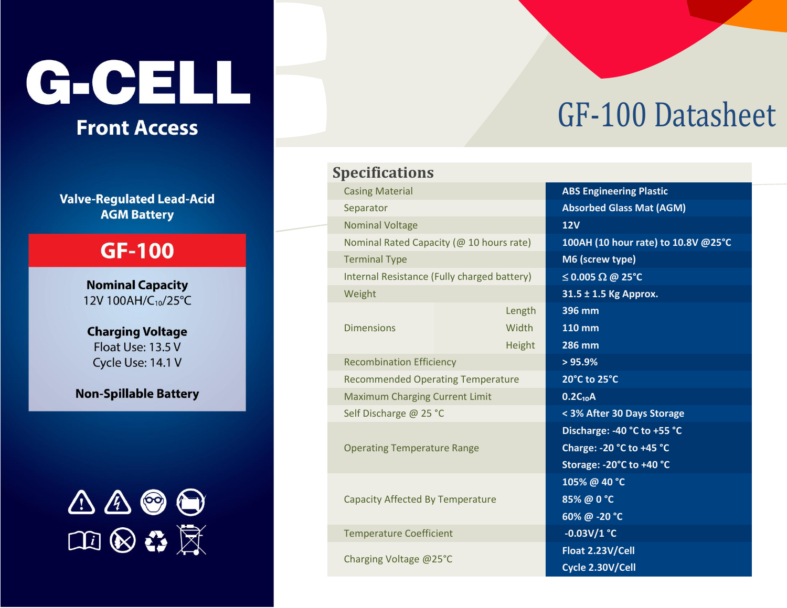# G-CELL

# **Front Access**

**Valve-Regulated Lead-Acid AGM Battery** 

## **GF-100**

**Nominal Capacity** 12V 100AH/C10/25°C

#### **Charging Voltage** Float Use: 13.5 V Cycle Use: 14.1 V

**Non-Spillable Battery** 



# GF-100 Datasheet

### **Specifications**

| <b>Casing Material</b>                      | <b>ABS Engineering Plastic</b>      |
|---------------------------------------------|-------------------------------------|
| Separator                                   | <b>Absorbed Glass Mat (AGM)</b>     |
| <b>Nominal Voltage</b>                      | <b>12V</b>                          |
| Nominal Rated Capacity (@ 10 hours rate)    | 100AH (10 hour rate) to 10.8V @25°C |
| <b>Terminal Type</b>                        | M6 (screw type)                     |
| Internal Resistance (Fully charged battery) | $\leq$ 0.005 $\Omega$ @ 25°C        |
| Weight                                      | 31.5 ± 1.5 Kg Approx.               |
|                                             | 396 mm<br>Length                    |
| <b>Dimensions</b><br>Width                  | <b>110 mm</b>                       |
|                                             | 286 mm<br>Height                    |
| <b>Recombination Efficiency</b>             | > 95.9%                             |
| <b>Recommended Operating Temperature</b>    | 20°C to 25°C                        |
| <b>Maximum Charging Current Limit</b>       | $0.2C_{10}A$                        |
| Self Discharge @ 25 °C                      | < 3% After 30 Days Storage          |
|                                             | Discharge: -40 °C to +55 °C         |
| <b>Operating Temperature Range</b>          | Charge: - 20 °C to +45 °C           |
|                                             | Storage: -20°C to +40 °C            |
|                                             | 105% @ 40 °C                        |
| <b>Capacity Affected By Temperature</b>     | 85% @ 0 °C                          |
|                                             | 60% @ -20 °C                        |
| <b>Temperature Coefficient</b>              | $-0.03V/1$ °C                       |
| Charging Voltage @25°C                      | Float 2.23V/Cell                    |
|                                             | Cycle 2.30V/Cell                    |
|                                             |                                     |

|               | ABS Engineering Plastic             |
|---------------|-------------------------------------|
|               | <b>Absorbed Glass Mat (AGM)</b>     |
|               | <b>12V</b>                          |
| rate)         | 100AH (10 hour rate) to 10.8V @25°C |
|               | M6 (screw type)                     |
| ttery)        | $\leq$ 0.005 $\Omega$ @ 25°C        |
|               | 31.5 ± 1.5 Kg Approx.               |
| Length        | 396 mm                              |
| Width         | $110$ mm                            |
| <b>Height</b> | <b>286 mm</b>                       |
|               | > 95.9%                             |
| ure           | 20°C to 25°C                        |
|               | $0.2C_{10}A$                        |
|               | < 3% After 30 Days Storage          |
|               | Discharge: -40 °C to +55 °C         |
|               | Charge: -20 °C to +45 °C            |
|               | Storage: - 20°C to +40 °C           |
|               | 105% @ 40 °C                        |
|               | 85% @ 0 °C                          |
|               | 60% @ -20 °C                        |
|               | $-0.03V/1$ °C                       |
|               | Float 2.23V/Cell                    |
|               | Cycle 2.30V/Cell                    |
|               |                                     |